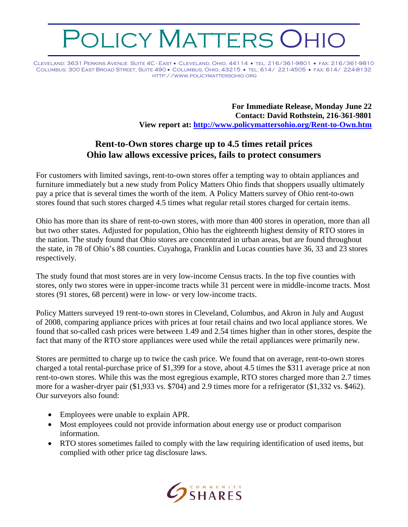## OLICY MATTERS OHIO

Cleveland: 3631 Perkins Avenue Suite 4C - East • Cleveland, Ohio, 44114 • tel: 216/361-9801 • fax: 216/361-9810 Columbus: 300 East Broad Street, Suite 490 • Columbus, Ohio, 43215 • tel: 614/ 221-4505 • fax: 614/ 224-8132 http://www.policymattersohio.org

> **For Immediate Release, Monday June 22 Contact: David Rothstein, 216-361-9801 View report at:<http://www.policymattersohio.org/Rent-to-Own.htm>**

## **Rent-to-Own stores charge up to 4.5 times retail prices Ohio law allows excessive prices, fails to protect consumers**

For customers with limited savings, rent-to-own stores offer a tempting way to obtain appliances and furniture immediately but a new study from Policy Matters Ohio finds that shoppers usually ultimately pay a price that is several times the worth of the item. A Policy Matters survey of Ohio rent-to-own stores found that such stores charged 4.5 times what regular retail stores charged for certain items.

Ohio has more than its share of rent-to-own stores, with more than 400 stores in operation, more than all but two other states. Adjusted for population, Ohio has the eighteenth highest density of RTO stores in the nation. The study found that Ohio stores are concentrated in urban areas, but are found throughout the state, in 78 of Ohio's 88 counties. Cuyahoga, Franklin and Lucas counties have 36, 33 and 23 stores respectively.

The study found that most stores are in very low-income Census tracts. In the top five counties with stores, only two stores were in upper-income tracts while 31 percent were in middle-income tracts. Most stores (91 stores, 68 percent) were in low- or very low-income tracts.

Policy Matters surveyed 19 rent-to-own stores in Cleveland, Columbus, and Akron in July and August of 2008, comparing appliance prices with prices at four retail chains and two local appliance stores. We found that so-called cash prices were between 1.49 and 2.54 times higher than in other stores, despite the fact that many of the RTO store appliances were used while the retail appliances were primarily new.

Stores are permitted to charge up to twice the cash price. We found that on average, rent-to-own stores charged a total rental-purchase price of \$1,399 for a stove, about 4.5 times the \$311 average price at non rent-to-own stores. While this was the most egregious example, RTO stores charged more than 2.7 times more for a washer-dryer pair (\$1,933 vs. \$704) and 2.9 times more for a refrigerator (\$1,332 vs. \$462). Our surveyors also found:

- Employees were unable to explain APR.
- Most employees could not provide information about energy use or product comparison information.
- RTO stores sometimes failed to comply with the law requiring identification of used items, but complied with other price tag disclosure laws.